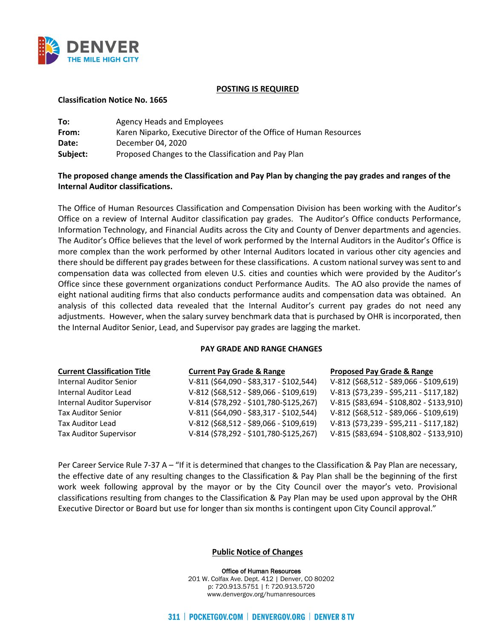

#### **POSTING IS REQUIRED**

### **Classification Notice No. 1665**

| To:      | Agency Heads and Employees                                         |
|----------|--------------------------------------------------------------------|
| From:    | Karen Niparko, Executive Director of the Office of Human Resources |
| Date:    | December 04, 2020                                                  |
| Subject: | Proposed Changes to the Classification and Pay Plan                |

# **The proposed change amends the Classification and Pay Plan by changing the pay grades and ranges of the Internal Auditor classifications.**

The Office of Human Resources Classification and Compensation Division has been working with the Auditor's Office on a review of Internal Auditor classification pay grades. The Auditor's Office conducts Performance, Information Technology, and Financial Audits across the City and County of Denver departments and agencies. The Auditor's Office believes that the level of work performed by the Internal Auditors in the Auditor's Office is more complex than the work performed by other Internal Auditors located in various other city agencies and there should be different pay grades between for these classifications. A custom national survey was sent to and compensation data was collected from eleven U.S. cities and counties which were provided by the Auditor's Office since these government organizations conduct Performance Audits. The AO also provide the names of eight national auditing firms that also conducts performance audits and compensation data was obtained. An analysis of this collected data revealed that the Internal Auditor's current pay grades do not need any adjustments. However, when the salary survey benchmark data that is purchased by OHR is incorporated, then the Internal Auditor Senior, Lead, and Supervisor pay grades are lagging the market.

#### **PAY GRADE AND RANGE CHANGES**

| <b>Current Classification Title</b> | <b>Current Pay Grade &amp; Range</b>      | <b>Proposed Pay Grade &amp; Range</b>     |
|-------------------------------------|-------------------------------------------|-------------------------------------------|
| <b>Internal Auditor Senior</b>      | V-811 (\$64,090 - \$83,317 - \$102,544)   | $V-812$ (\$68,512 - \$89,066 - \$109,619) |
| Internal Auditor Lead               | $V-812$ (\$68,512 - \$89,066 - \$109,619) | V-813 (\$73,239 - \$95,211 - \$117,182)   |
| <b>Internal Auditor Supervisor</b>  | V-814 (\$78,292 - \$101,780-\$125,267)    | V-815 (\$83,694 - \$108,802 - \$133,910)  |
| <b>Tax Auditor Senior</b>           | V-811 (\$64,090 - \$83,317 - \$102,544)   | V-812 (\$68,512 - \$89,066 - \$109,619)   |
| <b>Tax Auditor Lead</b>             | $V-812$ (\$68,512 - \$89,066 - \$109,619) | V-813 (\$73,239 - \$95,211 - \$117,182)   |
| <b>Tax Auditor Supervisor</b>       | V-814 (\$78,292 - \$101,780-\$125,267)    | V-815 (\$83,694 - \$108,802 - \$133,910)  |

Per Career Service Rule 7-37 A – "If it is determined that changes to the Classification & Pay Plan are necessary, the effective date of any resulting changes to the Classification & Pay Plan shall be the beginning of the first work week following approval by the mayor or by the City Council over the mayor's veto. Provisional classifications resulting from changes to the Classification & Pay Plan may be used upon approval by the OHR Executive Director or Board but use for longer than six months is contingent upon City Council approval."

# **Public Notice of Changes**

Office of Human Resources 201 W. Colfax Ave. Dept. 412 | Denver, CO 80202 p: 720.913.5751 | f: 720.913.5720 www.denvergov.org/humanresources